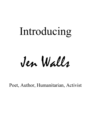# Introducing

Jen Walls

Poet, Author, Humanitarian, Activist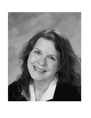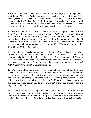An Inner child Press International Author/Poet and regular anthology poetry contributor, Mrs. Jen Walls has recently picked up two of the five 2016 Distinguished Poet Awards that were bestowed recently at the WIN-Canada Awards Gala. Jen Walls of Saint Paul, Minnesota, USA received her award, as well as one for her co-author and poet-brother, Dr. Ram Sharma of Meerut, U.P. India (in absentee) for their recent world peace poetry collection contributions.

Jen Walls and Dr. Ram Sharma received their 2016 Distinguished Poet Awards from Writers International Canada, at the annual WIN-Canada Awards Gala at Burnaby, British Columbia on Friday, May 27, 2016. Jen is a poet/author of "The Tender Petals" from inner child press, and Dr. Ram Sharma is a recent author of "Lamp of Love" from Uttkarsh Publications. Both poets have recently co-authored and released a vibrant peace poetry collection entitled "OM santih santih santih" from The Poetry Society of India.

Receiving the highly acclaimed awards for both the USA and India, Mrs. Jen Walls offered a caring address to an attentive WIN-Canada Award Gala audience of approximately 206 people, which included the Writers International Network Board of Directors and Members, international poetry and literary arts supporters, and esteemed international dignitaries/journalists in attendance at the recent annual WIN-Canada Award event in British Columbia.

Jen Walls gave a brief presentation - sharing fond affectionate gratitude for divine Creator's grace, as she also called for continued care through poetry's vibrant and living messages of hope. Her uplifting address further requested ongoing supports for creating vital sharing of universal family's deepening heart-connections that enliven world peace through the creative arts; building upon collective positivity and sparking future generations to grow important artistry that makes a positive impact upon the world.

Inner Child Press wishes to congratulate Mrs. Jen Walls and Dr. Ram Sharma on their continued dedication for creating peace and love poetry that caringly vibrates within soulful vastness for creating world peace. We at inner child press heartfully applaud them on their recent 2016 Distinguished Poet Awards from WIN-Canada!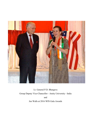

#### Lt. General P.D. Bhargava Group Deputy Vice-Chancellor - Amity University - India and

Jen Walls at 2016 WIN Gala Awards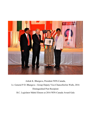

Ashok K. Bhargava, President WIN-Canada, Lt. General P.D. Bhargava - Group Deputy Vice-ChancellorJen Walls, 2016 Distinguished Poet Recipient B.C. Legislator Mabel Elmore at 2016 WIN-Canada Award Gala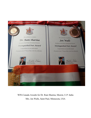

#### WIN-Canada Awards for Dr. Ram Sharma, Meerut, U.P. India Mrs. Jen Walls, Saint Paul, Minnesota, USA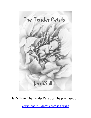

Jen's Book The Tender Petals can be purchased at :

[www.innerchildpress.com/jen-walls](http://www.innerchildpress.com/jen-walls)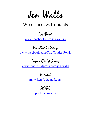Jen Walls

## Web Links & Contacts

FaceBook

[www.facebook.com/jen.walls.7](http://www.facebook.com/jen.walls.7)

FaceBook Group

[www.facebook.com/The-Tender-Petals](http://www.facebook.com/The-Tender-Petals)

#### Inner Child Press

[www.innerchildpress.com/jen-walls](http://www.innerchildpress.com/jen-walls)

#### E-Mail

[mywritegift@gmail.com](mailto:mywritegift@gmail.com)

#### SKYPE

[poetessjenwalls](http://www.poetessjenwalls/)